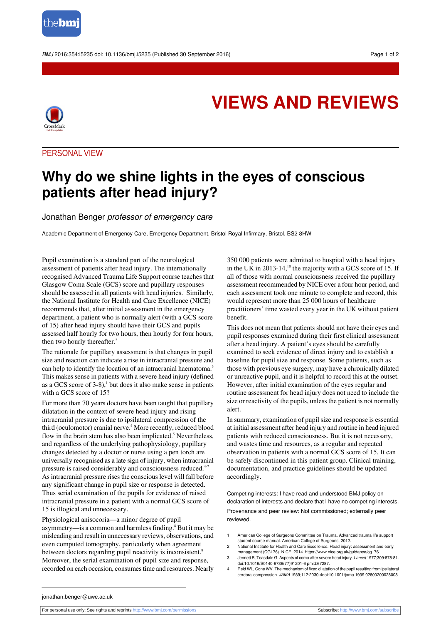

BMJ 2016:354:i5235 doi: 10.1136/bmi.i5235 (Published 30 September 2016) Page 1 of 2



## **VIEWS AND REVIEWS**

PERSONAL VIEW

## **Why do we shine lights in the eyes of conscious patients after head injury?**

## Jonathan Benger professor of emergency care

Academic Department of Emergency Care, Emergency Department, Bristol Royal Infirmary, Bristol, BS2 8HW

Pupil examination is a standard part of the neurological assessment of patients after head injury. The internationally recognised Advanced Trauma Life Support course teaches that Glasgow Coma Scale (GCS) score and pupillary responses should be assessed in all patients with head injuries.<sup>1</sup> Similarly, the National Institute for Health and Care Excellence (NICE) recommends that, after initial assessment in the emergency department, a patient who is normally alert (with a GCS score of 15) after head injury should have their GCS and pupils assessed half hourly for two hours, then hourly for four hours, then two hourly thereafter.<sup>2</sup>

The rationale for pupillary assessment is that changes in pupil size and reaction can indicate a rise in intracranial pressure and can help to identify the location of an intracranial haematoma.<sup>3</sup> This makes sense in patients with a severe head injury (defined as a GCS score of  $3-8$ ),<sup>1</sup> but does it also make sense in patients with a GCS score of 15?

For more than 70 years doctors have been taught that pupillary dilatation in the context of severe head injury and rising intracranial pressure is due to ipsilateral compression of the third (oculomotor) cranial nerve.<sup>4</sup> More recently, reduced blood flow in the brain stem has also been implicated.<sup>5</sup> Nevertheless, and regardless of the underlying pathophysiology, pupillary changes detected by a doctor or nurse using a pen torch are universally recognised as a late sign of injury, when intracranial pressure is raised considerably and consciousness reduced.<sup>4-7</sup> As intracranial pressure rises the conscious level will fall before any significant change in pupil size or response is detected. Thus serial examination of the pupils for evidence of raised intracranial pressure in a patient with a normal GCS score of 15 is illogical and unnecessary.

Physiological anisocoria—a minor degree of pupil asymmetry—is a common and harmless finding.<sup>8</sup> But it may be misleading and result in unnecessary reviews, observations, and even computed tomography, particularly when agreement between doctors regarding pupil reactivity is inconsistent.<sup>9</sup> Moreover, the serial examination of pupil size and response, recorded on each occasion, consumes time and resources. Nearly

350 000 patients were admitted to hospital with a head injury in the UK in 2013-14, $^{10}$  the majority with a GCS score of 15. If all of those with normal consciousness received the pupillary assessment recommended by NICE over a four hour period, and each assessment took one minute to complete and record, this would represent more than 25 000 hours of healthcare practitioners' time wasted every year in the UK without patient benefit.

This does not mean that patients should not have their eyes and pupil responses examined during their first clinical assessment after a head injury. A patient's eyes should be carefully examined to seek evidence of direct injury and to establish a baseline for pupil size and response. Some patients, such as those with previous eye surgery, may have a chronically dilated or unreactive pupil, and it is helpful to record this at the outset. However, after initial examination of the eyes regular and routine assessment for head injury does not need to include the size or reactivity of the pupils, unless the patient is not normally alert.

In summary, examination of pupil size and response is essential at initial assessment after head injury and routine in head injured patients with reduced consciousness. But it is not necessary, and wastes time and resources, as a regular and repeated observation in patients with a normal GCS score of 15. It can be safely discontinued in this patient group. Clinical training, documentation, and practice guidelines should be updated accordingly.

Competing interests: I have read and understood BMJ policy on declaration of interests and declare that I have no competing interests.

Provenance and peer review: Not commissioned; externally peer reviewed.

- 1 American College of Surgeons Committee on Trauma. Advanced trauma life support student course manual. American College of Surgeons, 2012.
- 2 National Institute for Health and Care Excellence. Head injury: assessment and early management (CG176). NICE, 2014. https://www.nice.org.uk/guidance/cg176
- 3 Jennett B, Teasdale G. Aspects of coma after severe head injury. Lancet 1977;309:878-81. [doi:10.1016/S0140-6736\(77\)91201-6](http://dx.doi.org/10.1016/S0140-6736(77)91201-6) [pmid:67287](http://www.ncbi.nlm.nih.gov/pubmed/?term=67287).
- 4 Reid WL, Cone WV. The mechanism of fixed dilatation of the pupil resulting from ipsilateral cerebral compression. JAMA 1939;112:2030-[4doi:10.1001/jama.1939.02800200028008](http://dx.doi.org/10.1001/jama.1939.02800200028008).

jonathan.benger@uwe.ac.uk